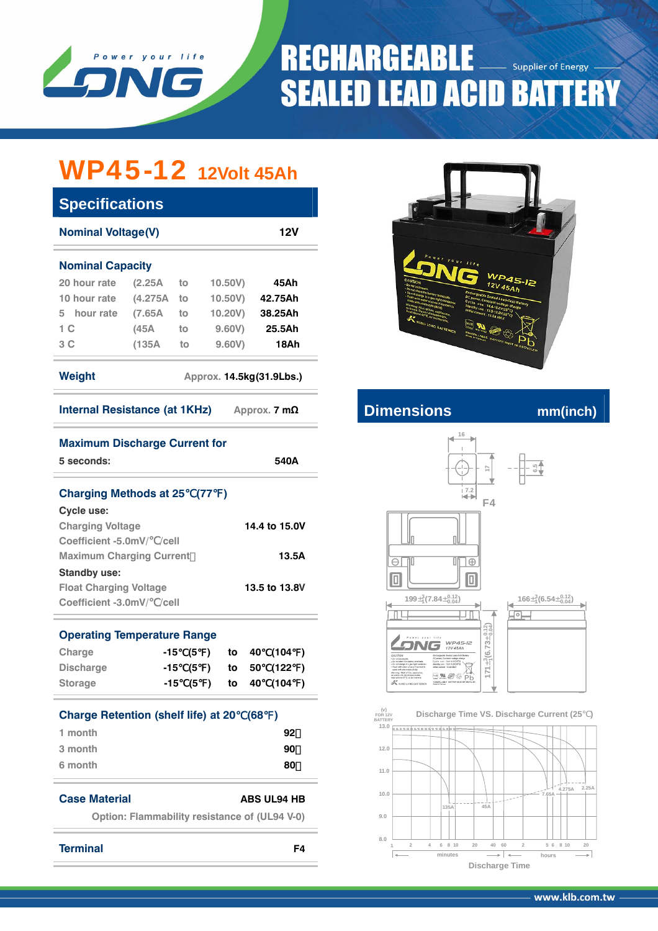

# **RECHARGEABLE** Supplier of Energy **SEALED LEAD ACID BATTERY**

## WP45-12 **12Volt 45Ah**

| <b>Specifications</b>                                                                                                                                                                                                                                                              |                                               |                 |         |         |    |         |   |  |  |
|------------------------------------------------------------------------------------------------------------------------------------------------------------------------------------------------------------------------------------------------------------------------------------|-----------------------------------------------|-----------------|---------|---------|----|---------|---|--|--|
| <b>Nominal Voltage(V)</b><br>12V                                                                                                                                                                                                                                                   |                                               |                 |         |         |    |         |   |  |  |
| <b>Nominal Capacity</b>                                                                                                                                                                                                                                                            |                                               |                 |         |         |    |         |   |  |  |
| 20 hour rate (2.25A                                                                                                                                                                                                                                                                | to                                            | 10.50V)<br>45Ah |         |         |    |         |   |  |  |
| 10 hour rate                                                                                                                                                                                                                                                                       | $(4.275A$ to                                  |                 | 10.50V) | 42.75Ah |    |         |   |  |  |
| 5 hour rate (7.65A to                                                                                                                                                                                                                                                              |                                               |                 |         | 10.20V) |    | 38.25Ah |   |  |  |
| 1 <sup>C</sup>                                                                                                                                                                                                                                                                     | (45A                                          | to              | 9.60V)  |         |    | 25.5Ah  |   |  |  |
| 3C                                                                                                                                                                                                                                                                                 | $(135A$ to                                    |                 | 9.60V)  |         |    | 18Ah    |   |  |  |
| <b>Weight</b><br>Approx. 14.5kg(31.9Lbs.)                                                                                                                                                                                                                                          |                                               |                 |         |         |    |         |   |  |  |
| Internal Resistance (at 1KHz) Approx. 7 mΩ                                                                                                                                                                                                                                         |                                               |                 |         |         |    |         |   |  |  |
| <b>Maximum Discharge Current for</b><br>5 seconds:<br>540A                                                                                                                                                                                                                         |                                               |                 |         |         |    |         |   |  |  |
| <b>Charging Methods at 25 (77)</b><br><b>Cycle use:</b><br>14.4 to 15.0V<br><b>Charging Voltage</b><br>Coefficient -5.0mV/ /cell<br><b>Maximum Charging Current</b><br>13.5A<br><b>Standby use:</b><br><b>Float Charging Voltage</b><br>13.5 to 13.8V<br>Coefficient -3.0mV/ /cell |                                               |                 |         |         |    |         |   |  |  |
| <b>Operating Temperature Range</b>                                                                                                                                                                                                                                                 |                                               |                 |         |         |    |         |   |  |  |
| Charge<br>-15<br>40<br>(104)<br>(5)<br>to                                                                                                                                                                                                                                          |                                               |                 |         |         |    |         |   |  |  |
| <b>Discharge</b>                                                                                                                                                                                                                                                                   |                                               | -15 (5 )        |         | to      | 50 | (122)   |   |  |  |
| <b>Storage</b>                                                                                                                                                                                                                                                                     | -15                                           | (5              | )       | to      | 40 | (104)   | ) |  |  |
| <b>Charge Retention (shelf life) at 20</b><br>(68)<br>$\rightarrow$<br>1 month<br>92<br>3 month<br>90<br>6 month<br>80                                                                                                                                                             |                                               |                 |         |         |    |         |   |  |  |
| <b>Case Material</b><br>ABS UL94 HB                                                                                                                                                                                                                                                |                                               |                 |         |         |    |         |   |  |  |
|                                                                                                                                                                                                                                                                                    | Option: Flammability resistance of (UL94 V-0) |                 |         |         |    |         |   |  |  |



### **Internal Resistance (at 1KHz) A**



 **FOR 12V BATTERY (v) Discharge Time VS. Discharge Current (25 )**



**Terminal F4**